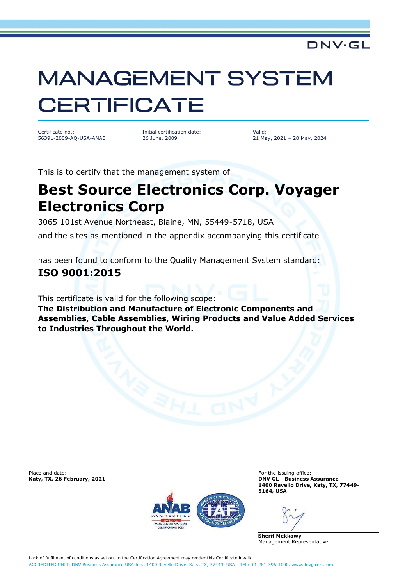#### DNV·GL

# **MANAGEMENT SYSTEM CERTIFICATE**

Certificate no.: 56391-2009-AQ-USA-ANAB Initial certification date: 26 June, 2009

Valid: 21 May, 2021 – 20 May, 2024

This is to certify that the management system of

## **Best Source Electronics Corp. Voyager Electronics Corp**

3065 101st Avenue Northeast, Blaine, MN, 55449-5718, USA and the sites as mentioned in the appendix accompanying this certificate

has been found to conform to the Quality Management System standard: **ISO 9001:2015**

This certificate is valid for the following scope: **The Distribution and Manufacture of Electronic Components and Assemblies, Cable Assemblies, Wiring Products and Value Added Services to Industries Throughout the World.**

Place and date: For the issuing office:<br> **For the issuing office:** For the issuing office:<br> **For the issuing office:** For the issuing office: **For the issuing office:** For the issuing office:



**Katy, TX, 26 February, 2021 DNV GL - Business Assurance 1400 Ravello Drive, Katy, TX, 77449- 5164, USA**

**Sherif Mekkawy** Management Representative

Lack of fulfilment of conditions as set out in the Certification Agreement may render this Certificate invalid. ACCREDITED UNIT: DNV Business Assurance USA Inc., 1400 Ravello Drive, Katy, TX, 77449, USA - TEL: +1 281-396-1000. [www.dnvglcert.com](http://www.dnvglcert.com)